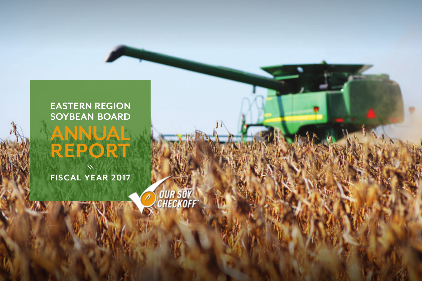#### **EASTERN REGION SOYBEAN BOARD**

**STATE** 

**OUR SOY**<br>CHECKOFF

**ANNUAL** 

**REPORT**

**FISCAL YEAR 2017**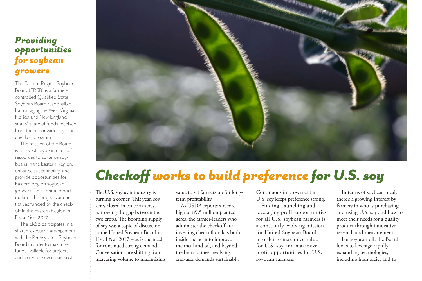#### *Providing opportunities for soybean growers*

The Eastern Region Soybean Board (ERSB) is a farmercontrolled Qualified State Soybean Board responsible for managing the West Virginia, Florida and New England states' share of funds received from the nationwide soybean checkoff program.

The mission of the Board is to invest soybean checkoff resources to advance soybeans in the Eastern Region, enhance sustainability, and provide opportunities for Eastern Region soybean growers. This annual report outlines the projects and initiatives funded by the checkoff in the Eastern Region in Fiscal Year 2017.

The ERSB participates in a shared-executive arrangement with the Pennsylvania Soybean Board in order to maximize funds available for projects and to reduce overhead costs.



## *Checkoffworks to build preference for U.S. soy*

The U.S. soybean industry is turning a corner. This year, soy acres closed in on corn acres, narrowing the gap between the two crops. The booming supply of soy was a topic of discussion at the United Soybean Board in Fiscal Year 2017 – as is the need for continued strong demand. Conversations are shifting from increasing volume to maximizing value to set farmers up for longterm profitability.

As USDA reports a record mgn or 09.9 minion planted  $N<sub>1</sub>$  is contained of  $N<sub>2</sub>$  in  $N<sub>3</sub>$  $\alpha$  administer the checkoff are investing checkoff dollars both **Phone: (717) 651-5922** the meal and oil, and beyond **Fax: (11)** 651-591. **Fax: (11)** 651. **Fax: (11)** 652. **Fax: (11)** 652. **Fax: (11)** 652. **Fax:** (11) the bean to meet evolving end-user demands sustainably. high of 89.5 million planted inside the bean to improve

Continuous improvement in U.S. soy keeps preference strong.

Finding, launching and leveraging profit opportunities for all U.S. soybean farmers is a constantly evolving mission for United Soybean Board in order to maximize value for U.S. soy and maximize profit opportunities for U.S. soybean farmers.

In terms of soybean meal, there's a growing interest by farmers in who is purchasing and using U.S. soy and how to meet their needs for a quality product through innovative research and measurement.

For soybean oil, the Board looks to leverage rapidly expanding technologies, including high oleic, and to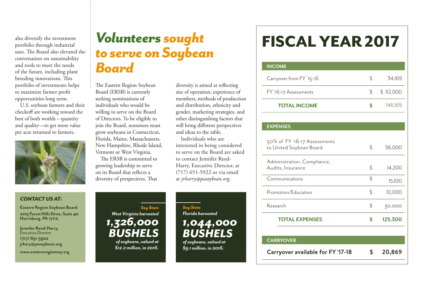also diversify the investment portfolio through industrial uses. The Board also elevated the conversation on sustainability and tools to meet the needs of the future, including plant breeding innovations. This portfolio of investments helps to maximize farmer profit opportunities long term.

U.S. soybean farmers and their checkoff are working toward the best of both worlds – quantity and quality—to get more value per acre returned to farmers.



**jrhary@pasoybean.org www.easternregionsoy.org**

### *Volunteers sought to serve on Soybean Board*

The Eastern Region Soybean Board (ERSB) is currently seeking nominations of individuals who would be willing to serve on the Board of Directors. To be eligible to join the Board, nominees must grow soybeans in Connecticut, Florida, Maine, Massachusetts, New Hampshire, Rhode Island, Vermont or West Virginia.

The ERSB is committed to growing leadership to serve on its Board that reflects a diversity of perspectives. That diversity is aimed at reflecting size of operation, experience of members, methods of production and distribution, ethnicity and gender, marketing strategies, and other distinguishing factors that will bring different perspectives and ideas to the table.

Individuals who are interested in being considered to serve on the Board are asked to contact Jennifer Reed-Harry, Executive Director, at (717) 651-5922 or via email at *jrharry@pasoybean.org.*



*of soybeans, valued at \$12.2 million, in 2016.*

*Soy Stats Florida harvested 1,044,000 BUSHELS of soybeans, valued at \$9.1 million, in 2016.*

# FISCAL YEAR 2017

| <b>INCOME</b>            |    |           |
|--------------------------|----|-----------|
| Carryover from FY '15-16 | S. | 34.169    |
| FY '16-17 Assessments    | \$ | \$112,000 |
| <b>TOTAL INCOME</b>      |    | 146.169   |

| <b>EXPENSES</b>                                         |               |
|---------------------------------------------------------|---------------|
| 50% of FY '16-17 Assessments<br>to United Soybean Board | \$<br>56,000  |
| Administration, Compliance,<br>Audits, Insurance        | \$<br>14,200  |
| Communications                                          | \$<br>15,100  |
| Promotion/Education                                     | \$<br>10,000  |
| Research                                                | \$<br>30,000  |
| <b>TOTAL EXPENSES</b>                                   | \$<br>125,300 |
|                                                         |               |
| <b>CARRYOVER</b>                                        |               |
| Carryover available for FY '17-18                       | 20,869        |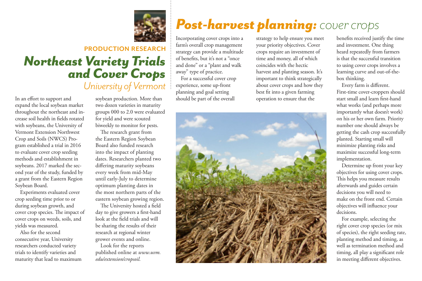

### **PRODUCTION RESEARCH** *Northeast Variety Trials and Cover Crops University of Vermont*

In an effort to support and expand the local soybean market throughout the northeast and increase soil health in fields rotated with soybeans, the University of Vermont Extension Northwest Crop and Soils (NWCS) Program established a trial in 2016 to evaluate cover crop seeding methods and establishment in soybeans. 2017 marked the second year of the study, funded by a grant from the Eastern Region Soybean Board.

Experiments evaluated cover crop seeding time prior to or during soybean growth, and cover crop species. The impact of cover crops on weeds, soils, and yields was measured.

Also for the second consecutive year, University researchers conducted variety trials to identify varieties and maturity that lead to maximum soybean production. More than two dozen varieties in maturity groups 000 to 2.0 were evaluated for yield and were scouted biweekly to monitor for pests.

The research grant from the Eastern Region Soybean Board also funded research into the impact of planting dates. Researchers planted two differing maturity soybeans every week from mid-May until early-July to determine optimum planting dates in the most northern parts of the eastern soybean growing region.

The University hosted a field day to give growers a first-hand look at the field trials and will be sharing the results of their research at regional winter grower events and online.

Look for the reports published online at *www.uvm. edu/extension/cropsoil.*

### *Post-harvest planning: cover crops*

Incorporating cover crops into a farm's overall crop management strategy can provide a multitude of benefits, but it's not a "once and done" or a "plant and walk away" type of practice. For a successful cover crop experience, some up-front

planning and goal setting should be part of the overall strategy to help ensure you meet your priority objectives. Cover crops require an investment of time and money, all of which coincides with the hectic harvest and planting season. It's important to think strategically about cover crops and how they best fit into a given farming operation to ensure that the



benefits received justify the time and investment. One thing heard repeatedly from farmers is that the successful transition to using cover crops involves a learning curve and out-of-thebox thinking.

Every farm is different. First-time cover-croppers should start small and learn first-hand what works (and perhaps more importantly what doesn't work) on his or her own farm. Priority number one should always be getting the cash crop successfully planted. Starting small will minimize planting risks and maximize successful long-term implementation.

Determine up front your key objectives for using cover crops. This helps you measure results afterwards and guides certain decisions you will need to make on the front end. Certain objectives will influence your decisions.

For example, selecting the right cover crop species (or mix of species), the right seeding rate, planting method and timing, as well as termination method and timing, all play a significant role in meeting different objectives.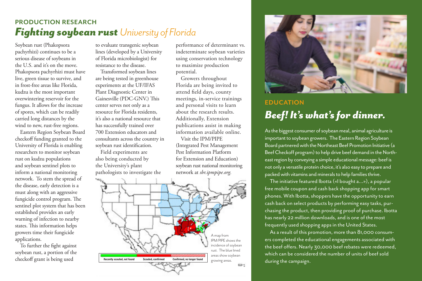#### **PRODUCTION RESEARCH** *Fighting soybean rust University of Florida*

Soybean rust (Phakopsora pachyrhizi) continues to be a serious disease of soybeans in the U.S. and it's on the move. Phakopsora pachyrhizi must have live, green tissue to survive, and in frost-free areas like Florida, kudzu is the most important overwintering reservoir for the fungus. It allows for the increase of spores, which can be readily carried long distances by the wind to new, rust-free regions.

Eastern Region Soybean Board checkoff funding granted to the University of Florida is enabling researchers to monitor soybean rust on kudzu populations and soybean sentinel plots to inform a national monitoring network. To stem the spread of the disease, early detection is a must along with an aggressive fungicide control program. The sentinel plot system that has been established provides an early warning of infection to nearby states. This information helps growers time their fungicide applications.

To further the fight against soybean rust, a portion of the checkoff grant is being used

to evaluate transgenic soybean lines (developed by a University of Florida microbiologist) for resistance to the disease.

Transformed soybean lines are being tested in greenhouse experiments at the UF/IFAS Plant Diagnostic Center in Gainesville (PDC-GNV.) This center serves not only as a resource for Florida residents, it's also a national resource that has successfully trained over 700 Extension educators and consultants across the country in soybean rust identification.

Field experiments are also being conducted by the University's plant pathologists to investigate the performance of determinant vs. indeterminate soybean varieties using conservation technology to maximize production potential.

Growers throughout Florida are being invited to attend field days, county meetings, in-service trainings and personal visits to learn about the research results. Additionally, Extension publications assist in making information available online.

Visit the IPM/PIPE (Integrated Pest Management Pest Information Platform for Extension and Education) soybean rust national monitoring network at *sbr.ipmpipe.org.*





#### **EDUCATION** *Beef! It's what's for dinner.*

As the biggest consumer of soybean meal, animal agriculture is important to soybean growers. The Eastern Region Soybean Board partnered with the Northeast Beef Promotion Initiative (a Beef Checkoff program) to help drive beef demand in the Northeast region by conveying a simple educational message: beef is not only a versatile protein choice, it's also easy to prepare and packed with vitamins and minerals to help families thrive.

The initiative featured Ibotta («I bought a...»), a popular free mobile coupon and cash back shopping app for smart phones. With Ibotta, shoppers have the opportunity to earn cash back on select products by performing easy tasks, purchasing the product, then providing proof of purchase. Ibotta has nearly 22 million downloads, and is one of the most frequently used shopping apps in the United States.

As a result of this promotion, more than 81,000 consumers completed the educational engagements associated with the beef offers. Nearly 30,000 beef rebates were redeemed, which can be considered the number of units of beef sold during the campaign.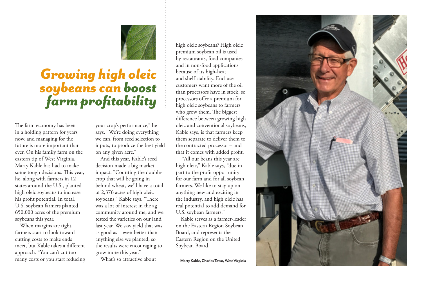

### *Growing high oleic soybeans can boost farm profitability*

The farm economy has been in a holding pattern for years now, and managing for the future is more important than ever. On his family farm on the eastern tip of West Virginia, Marty Kable has had to make some tough decisions. This year, he, along with farmers in 12 states around the U.S., planted high oleic soybeans to increase his profit potential. In total, U.S. soybean farmers planted 650,000 acres of the premium soybeans this year.

When margins are tight, farmers start to look toward cutting costs to make ends meet, but Kable takes a different approach. "You can't cut too many costs or you start reducing your crop's performance," he says. "We're doing everything we can, from seed selection to inputs, to produce the best yield on any given acre."

And this year, Kable's seed decision made a big market impact. "Counting the doublecrop that will be going in behind wheat, we'll have a total of 2,376 acres of high oleic soybeans," Kable says. "There was a lot of interest in the ag community around me, and we tested the varieties on our land last year. We saw yield that was as good as – even better than – anything else we planted, so the results were encouraging to grow more this year."

What's so attractive about

high oleic soybeans? High oleic premium soybean oil is used by restaurants, food companies and in non-food applications because of its high-heat and shelf stability. End-use customers want more of the oil than processors have in stock, so processors offer a premium for high oleic soybeans to farmers who grow them. The biggest difference between growing high oleic and conventional soybeans, Kable says, is that farmers keep them separate to deliver them to the contracted processor – and that it comes with added profit.

 "All our beans this year are high oleic," Kable says, "due in part to the profit opportunity for our farm and for all soybean farmers. We like to stay up on anything new and exciting in the industry, and high oleic has real potential to add demand for U.S. soybean farmers."

Kable serves as a farmer-leader on the Eastern Region Soybean Board, and represents the Eastern Region on the United Soybean Board.

**Marty Kable, Charles Town, West Virginia**

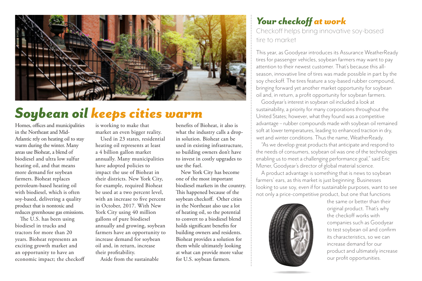

### *Soybean oil keeps cities warm*

Homes, offices and municipalities in the Northeast and Mid-Atlantic rely on heating oil to stay warm during the winter. Many areas use Bioheat, a blend of biodiesel and ultra low sulfur heating oil, and that means more demand for soybean farmers. Bioheat replaces petroleum-based heating oil with biodiesel, which is often soy-based, delivering a quality product that is nontoxic and reduces greenhouse gas emissions.

The U.S. has been using biodiesel in trucks and tractors for more than 20 years. Bioheat represents an exciting growth market and an opportunity to have an economic impact; the checkoff is working to make that market an even bigger reality.

Used in 23 states, residential heating oil represents at least a 4 billion gallon market annually. Many municipalities have adopted policies to impact the use of Bioheat in their districts. New York City, for example, required Bioheat be used at a two percent level, with an increase to five percent in October, 2017. With New York City using 40 million gallons of pure biodiesel annually and growing, soybean farmers have an opportunity to increase demand for soybean oil and, in return, increase their profitability.

Aside from the sustainable

benefits of Bioheat, it also is what the industry calls a dropin solution. Bioheat can be used in existing infrastructure, so building owners don't have to invest in costly upgrades to use the fuel.

New York City has become one of the most important biodiesel markets in the country. This happened because of the soybean checkoff. Other cities in the Northeast also use a lot of heating oil, so the potential to convert to a biodiesel blend holds significant benefits for building owners and residents. Bioheat provides a solution for them while ultimately looking at what can provide more value for U.S. soybean farmers.

#### *Your checkoff at work* Checkoff helps bring innovative soy-based tire to market

This year, as Goodyear introduces its Assurance WeatherReady tires for passenger vehicles, soybean farmers may want to pay attention to their newest customer. That's because this allseason, innovative line of tires was made possible in part by the soy checkoff. The tires feature a soy-based rubber compound, bringing forward yet another market opportunity for soybean oil and, in return, a profit opportunity for soybean farmers.

Goodyear's interest in soybean oil included a look at sustainability, a priority for many corporations throughout the United States; however, what they found was a competitive advantage – rubber compounds made with soybean oil remained soft at lower temperatures, leading to enhanced traction in dry, wet and winter conditions. Thus the name, WeatherReady.

"As we develop great products that anticipate and respond to the needs of consumers, soybean oil was one of the technologies enabling us to meet a challenging performance goal," said Eric Mizner, Goodyear's director of global material science.

A product advantage is something that is news to soybean farmers' ears, as this market is just beginning. Businesses looking to use soy, even if for sustainable purposes, want to see not only a price-competitive product, but one that functions



the same or better than their original product. That's why the checkoff works with companies such as Goodyear to test soybean oil and confirm its characteristics, so we can increase demand for our product and ultimately increase our profit opportunities.